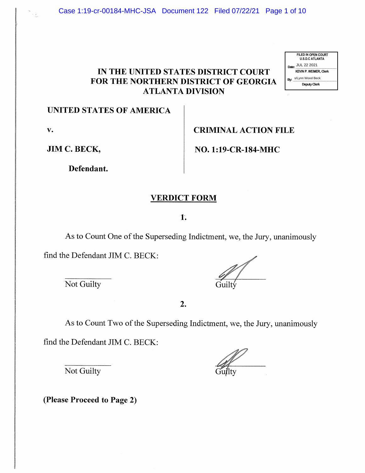# IN THE UNITED STATES DISTRICT COURT FOR THE NORTHERN DISTRICT OF GEORGIA ATLANTA DIVISION (FREE UNITED STATES DISTRICT COURT<br>
FOR THE NORTHERN DISTRICT OF GEORGIA<br>
FOR THE NORTHERN DISTRICT OF GEORGIA<br>
THEANTA DIVISION<br>
UNITED STATES OF AMERICA<br>
TRIMINAL ACTION FILE<br>
JIM C. BECK,<br>
Defendant.<br>
THE DISTRICT FORM<br>



#### UNITED STATES OF AMERICA

V.

JIM C. BECK,

Defendant.

# CRIMINAL ACTION FILE

NO. 1:19-CR-184-MHC

#### VERDICT FORM

#### 1.

As to Count One of the Superseding Indictment, we, the Jury, unanimously

find the Defendant JIM C. BECK:

Not Guilty

2.

As to Count Two of the Superseding Indictment, we, the Jury, unanimously

find the Defendant JIM C. BECK:

Not Guilty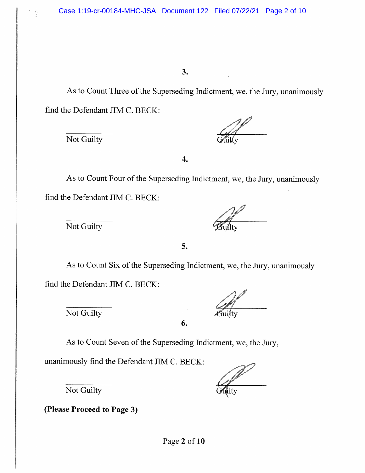As to Count Three of the Superseding Indictment, we, the Jury, unanimously find the Defendant JIM C. BECK:

Not Guilty

 $\overline{4}$ .

As to Count Four of the Superseding Indictment, we, the Jury, unanimously find the Defendant JIM C. BECK:

Not Guilty

5.

As to Count Six of the Superseding Indictment, we, the Jury, unanimously find the Defendant JIM C. BECK:

Not Guilty

| Gui≬ty |
|--------|

6.

As to Count Seven of the Superseding Indictment, we, the Jury,

unanimously find the Defendant JIM C. BECK:

 $\mathbb{Z}$ 

Not Guilty

(Please Proceed to Page 3)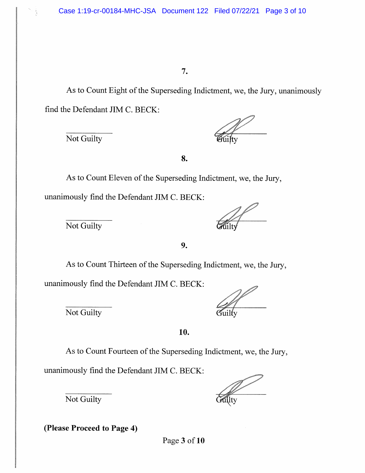As to Count Eight of the Superseding Indictment, we, the Jury, unanimously find the Defendant JIM C. BECK:

Not Guilty

8.

As to Count Eleven of the Superseding Indictment, we, the Jury, unanimously find the Defendant JIM C. BECK:

Not Guilty

9.

As to Count Thirteen of the Superseding Indictment, we, the Jury,

unanimously find the Defendant JIM C. BECK:

Not Guilty Guilty

10.

As to Count Fourteen of the Superseding Indictment, we, the Jury,

unanimously find the Defendant JIM C. BECK:

Not Guilty

(Please Proceed to Page 4)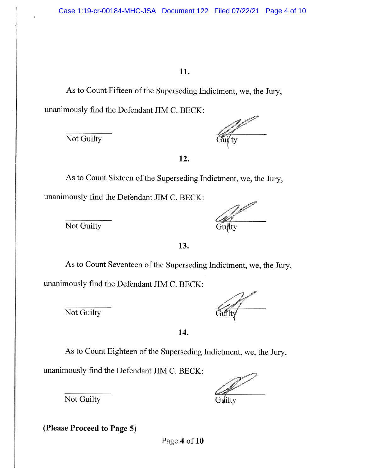As to Count Fifteen of the Superseding Indictment, we, the Jury, unanimously find the Defendant JIM C. BECK:

 $\overline{\text{Not } \text{Guilty}}$ 

 $\frac{1}{2}$ 

12.

As to Count Sixteen of the Superseding Indictment, we, the Jury, unanimously find the Defendant JIM C. BECK:

Not Guilty Guilty

13.

As to Count Seventeen of the Superseding Indictment, we, the Jury, unanimously find the Defendant JIM C. BECK:

Not Guilty

14.

As to Count Eighteen of the Superseding Indictment, we, the Jury,

unanimously find the Defendant JIM C. BECK:

Not Guilty Guilty

(Please Proceed to Page 5)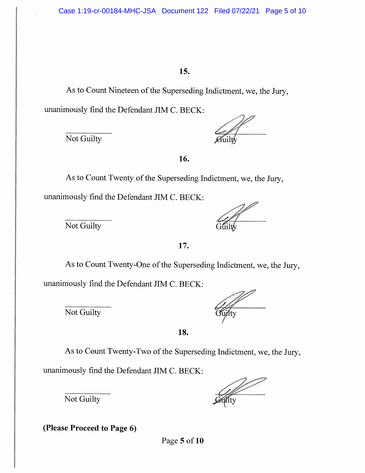As to Count Nineteen of the Superseding Indictment, we, the Jury, unanimously find the Defendant JIM C. BECK:

Not Guilty

16.

As to Count Twenty of the Superseding Indictment, we, the Jury, unanimously find the Defendant JIM C. BECK:

Not Guilty

17.

As to Count Twenty-One of the Superseding Indictment, we, the Jury,

unanimously find the Defendant JIM C. BECK:

Not Guilty

18.

As to Count Twenty-Two of the Superseding Indictment, we, the Jury,

unanimously find the Defendant JIM C. BECK:

Not Guilty

(Please Proceed to Page 6)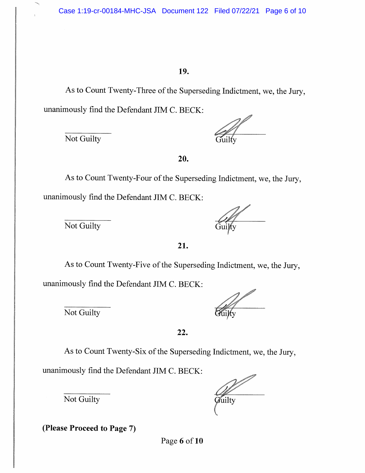As to Count Twenty-Three of the Superseding Indictment, we, the Jury, unanimously find the Defendant JIM C. BECK:

Not Guilty

20.

As to Count Twenty-Four of the Superseding Indictment, we, the Jury, unanimously find the Defendant JIM C. BECK:

Not Guilty

21.

As to Count Twenty-Five of the Superseding Indictment, we, the Jury, unanimously find the Defendant JIM C. BECK:

Not Guilty

| ulµy |  |
|------|--|

22.

As to Count Twenty-Six of the Superseding Indictment, we, the Jury,

unanimously find the Defendant JIM C. BECK:

Not Guilty

*Officially* 

(Please Proceed to Page 7)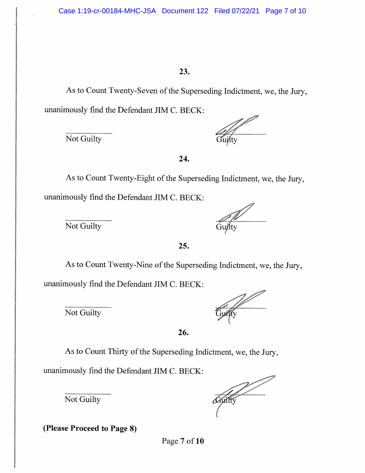As to Count Twenty-Seven of the Superseding Indictment, we, the Jury, unanimously find the Defendant JIM C. BECK:

Not Guilty

and a shi

24.

As to Count Twenty-Eight of the Superseding Indictment, we, the Jury, unanimously find the Defendant JIM C. BECK:

 $\frac{1}{\sqrt{1-\frac{1}{\sqrt{1+\frac{1}{\sqrt{1+\frac{1}{\sqrt{1+\frac{1}{\sqrt{1+\frac{1}{\sqrt{1+\frac{1}{\sqrt{1+\frac{1}{\sqrt{1+\frac{1}{\sqrt{1+\frac{1}{\sqrt{1+\frac{1}{\sqrt{1+\frac{1}{\sqrt{1+\frac{1}{1+\frac{1}{\sqrt{1+\frac{1}{1+\frac{1}{\sqrt{1+\frac{1}{1+\frac{1}{\sqrt{1+\frac{1}{1+\frac{1}{\sqrt{1+\frac{1}{1+\frac{1}{\sqrt{1+\frac{1}{1+\frac{1}{\sqrt{1+\frac{1}{1+\frac{1}{\sqrt{1+\frac{1}{1+\$ 

25.

As to Count Twenty-Nine of the Superseding Indictment, we, the Jury, unanimously find the Defendant JIM C. BECK:

Not Guilty

26.

As to Count Thirty of the Superseding Indictment, we, the Jury,

unanimously find the Defendant JIM C. BECK:

Not Guilty

(Please Proceed to Page 8)

**Country**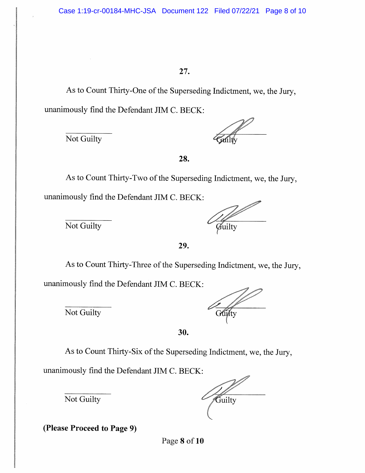As to Count Thirty-One of the Superseding Indictment, we, the Jury, unanimously find the Defendant JIM C. BECK:

Not Guilty

28.

As to Count Thirty-Two of the Superseding Indictment, we, the Jury, unanimously find the Defendant JIM C. BECK:

Not Guilty  $\overline{\mathcal{G}_{\text{utility}}}$ 

29.

As to Count Thirty-Three of the Superseding Indictment, we, the Jury,

unanimously find the Defendant JIM C. BECK:

Not Guilty

| Gujty |
|-------|

30.

As to Count Thirty-Six of the Superseding Indictment, we, the Jury,

unanimously find the Defendant JIM C. BECK:

Not Guilty

**Cuilty** 

(Please Proceed to Page 9)

Page 8 of 10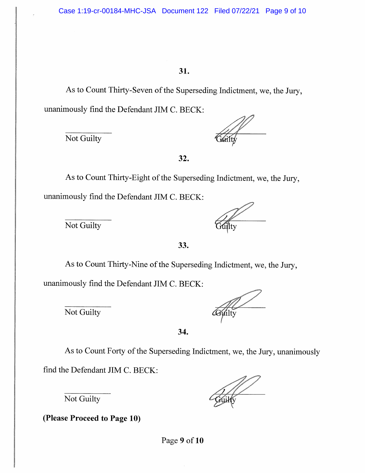As to Count Thirty-Seven of the Superseding Indictment, we, the Jury, unanimously find the Defendant JIM C. BECK:

Not Guilty

32.

As to Count Thirty-Eight of the Superseding Indictment, we, the Jury, unanimously find the Defendant JIM C. BECK:

Not Guilty

33.

As to Count Thirty-Nine of the Superseding Indictment, we, the Jury,

unanimously find the Defendant JIM C. BECK:

Not Guilty

34.

As to Count Forty of the Superseding Indictment, we, the Jury, unanimously

find the Defendant JIM C. BECK:

Not Guilty

(Please Proceed to Page 10)

Page 9 of 10